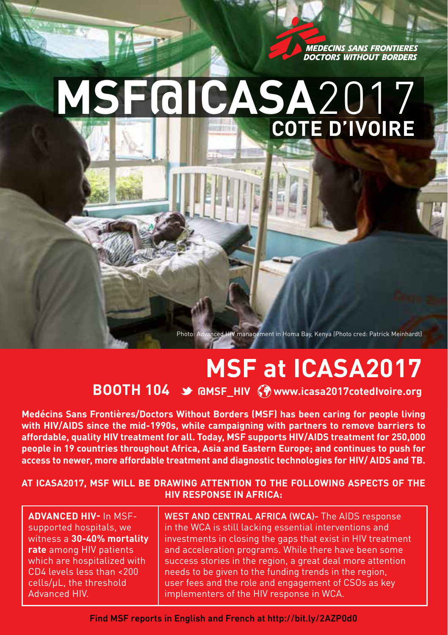**MEDECINS SANS FRONTIERES DOCTORS WITHOUT BORDERS** 

## **MSF@ICASA**2017 **Cote D'Ivoire**

Photo: Advanced HIV management in Homa Bay, Kenya (Photo cred: Patrick Meinhardt)

## **MSF at ICASA2017**

## **BOOTH 104 & GMSF\_HIV (?) www.icasa2017cotedIvoire.org**

**Medécins Sans Frontières/Doctors Without Borders (MSF) has been caring for people living with HIV/AIDS since the mid-1990s, while campaigning with partners to remove barriers to affordable, quality HIV treatment for all. Today, MSF supports HIV/AIDS treatment for 250,000 people in 19 countries throughout Africa, Asia and Eastern Europe; and continues to push for access to newer, more affordable treatment and diagnostic technologies for HIV/ AIDS and TB.** 

## **At ICASA2017, MSF will be drawing attention to the following aspects of the HIV response in Africa:**

**Advanced HIV-** In MSFsupported hospitals, we witness a **30-40% mortality rate** among HIV patients which are hospitalized with CD4 levels less than <200 cells/µL, the threshold Advanced HIV.

WEST AND CENTRAL AFRICA (WCA)- The AIDS response in the WCA is still lacking essential interventions and investments in closing the gaps that exist in HIV treatment and acceleration programs. While there have been some success stories in the region, a great deal more attention needs to be given to the funding trends in the region, user fees and the role and engagement of CSOs as key implementers of the HIV response in WCA.